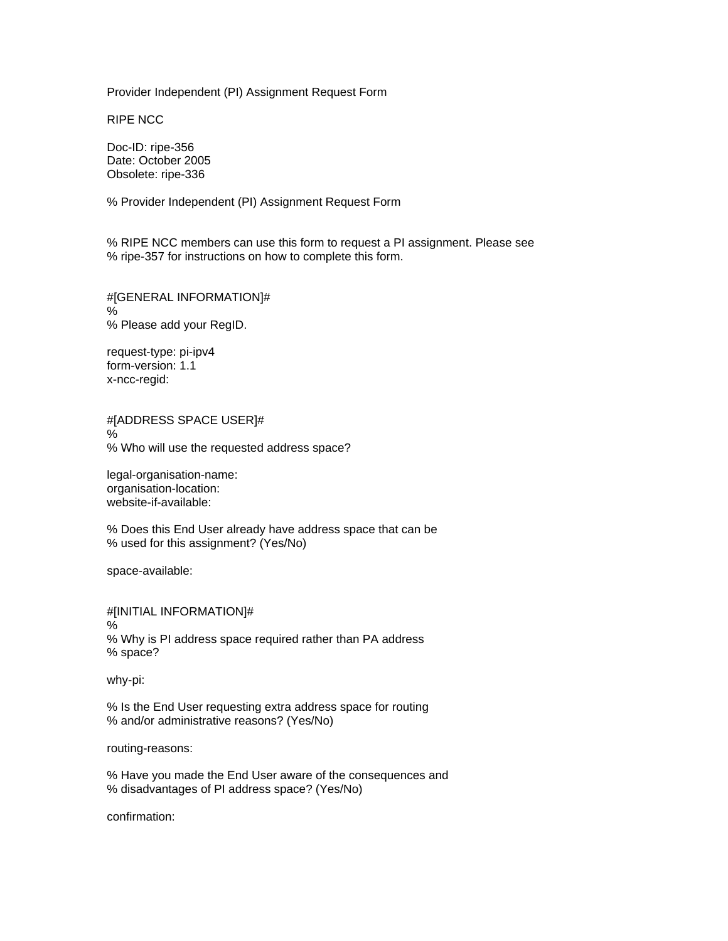Provider Independent (PI) Assignment Request Form

RIPE NCC

Doc-ID: ripe-356 Date: October 2005 Obsolete: ripe-336

% Provider Independent (PI) Assignment Request Form

% RIPE NCC members can use this form to request a PI assignment. Please see % ripe-357 for instructions on how to complete this form.

#[GENERAL INFORMATION]# % % Please add your RegID.

request-type: pi-ipv4 form-version: 1.1 x-ncc-regid:

#[ADDRESS SPACE USER]# % % Who will use the requested address space?

legal-organisation-name: organisation-location: website-if-available:

% Does this End User already have address space that can be % used for this assignment? (Yes/No)

space-available:

#[INITIAL INFORMATION]# % % Why is PI address space required rather than PA address % space?

why-pi:

% Is the End User requesting extra address space for routing % and/or administrative reasons? (Yes/No)

routing-reasons:

% Have you made the End User aware of the consequences and % disadvantages of PI address space? (Yes/No)

confirmation: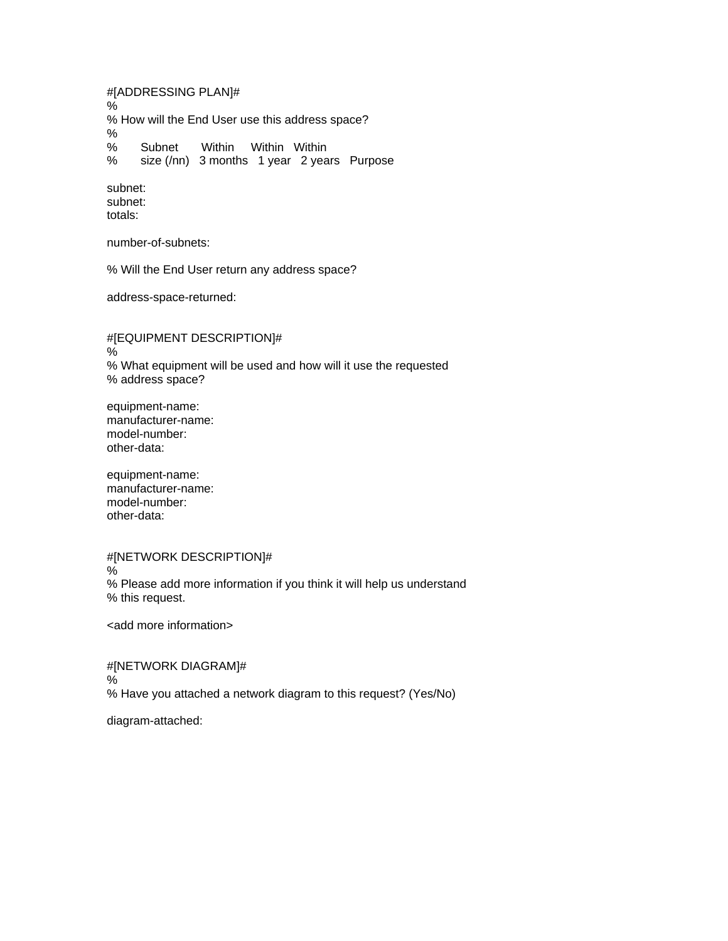#[ADDRESSING PLAN]# % % How will the End User use this address space? % % Subnet Within Within Within % size (/nn) 3 months 1 year 2 years Purpose

subnet: subnet: totals:

number-of-subnets:

% Will the End User return any address space?

address-space-returned:

#[EQUIPMENT DESCRIPTION]# % % What equipment will be used and how will it use the requested % address space?

equipment-name: manufacturer-name: model-number: other-data:

equipment-name: manufacturer-name: model-number: other-data:

#[NETWORK DESCRIPTION]# % % Please add more information if you think it will help us understand % this request.

<add more information>

#[NETWORK DIAGRAM]# % % Have you attached a network diagram to this request? (Yes/No)

diagram-attached: